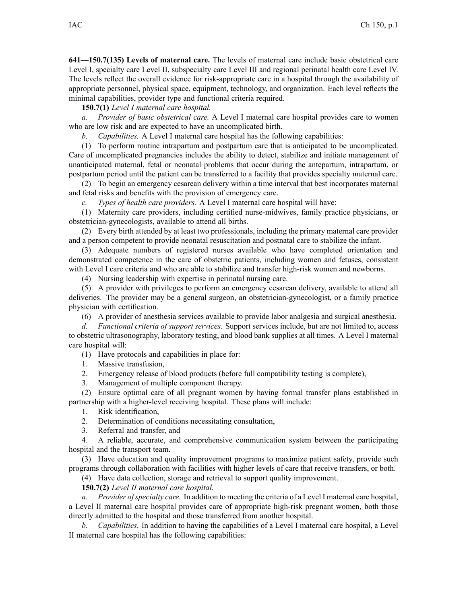**641—150.7(135) Levels of maternal care.** The levels of maternal care include basic obstetrical care Level I, specialty care Level II, subspecialty care Level III and regional perinatal health care Level IV. The levels reflect the overall evidence for risk-appropriate care in <sup>a</sup> hospital through the availability of appropriate personnel, physical space, equipment, technology, and organization. Each level reflects the minimal capabilities, provider type and functional criteria required.

**150.7(1)** *Level I maternal care hospital.*

*a. Provider of basic obstetrical care.* A Level I maternal care hospital provides care to women who are low risk and are expected to have an uncomplicated birth.

*b. Capabilities.* A Level I maternal care hospital has the following capabilities:

(1) To perform routine intrapartum and postpartum care that is anticipated to be uncomplicated. Care of uncomplicated pregnancies includes the ability to detect, stabilize and initiate managemen<sup>t</sup> of unanticipated maternal, fetal or neonatal problems that occur during the antepartum, intrapartum, or postpartum period until the patient can be transferred to <sup>a</sup> facility that provides specialty maternal care.

(2) To begin an emergency cesarean delivery within <sup>a</sup> time interval that best incorporates maternal and fetal risks and benefits with the provision of emergency care.

*c. Types of health care providers.* A Level I maternal care hospital will have:

(1) Maternity care providers, including certified nurse-midwives, family practice physicians, or obstetrician-gynecologists, available to attend all births.

(2) Every birth attended by at least two professionals, including the primary maternal care provider and <sup>a</sup> person competent to provide neonatal resuscitation and postnatal care to stabilize the infant.

(3) Adequate numbers of registered nurses available who have completed orientation and demonstrated competence in the care of obstetric patients, including women and fetuses, consistent with Level I care criteria and who are able to stabilize and transfer high-risk women and newborns.

(4) Nursing leadership with expertise in perinatal nursing care.

(5) A provider with privileges to perform an emergency cesarean delivery, available to attend all deliveries. The provider may be <sup>a</sup> general surgeon, an obstetrician-gynecologist, or <sup>a</sup> family practice physician with certification.

(6) A provider of anesthesia services available to provide labor analgesia and surgical anesthesia.

*d. Functional criteria of suppor<sup>t</sup> services.* Support services include, but are not limited to, access to obstetric ultrasonography, laboratory testing, and blood bank supplies at all times. A Level I maternal care hospital will:

(1) Have protocols and capabilities in place for:

1. Massive transfusion,

2. Emergency release of blood products (before full compatibility testing is complete),

3. Management of multiple componen<sup>t</sup> therapy.

(2) Ensure optimal care of all pregnan<sup>t</sup> women by having formal transfer plans established in partnership with <sup>a</sup> higher-level receiving hospital. These plans will include:

1. Risk identification,

2. Determination of conditions necessitating consultation,

3. Referral and transfer, and

4. A reliable, accurate, and comprehensive communication system between the participating hospital and the transport team.

(3) Have education and quality improvement programs to maximize patient safety, provide such programs through collaboration with facilities with higher levels of care that receive transfers, or both.

(4) Have data collection, storage and retrieval to suppor<sup>t</sup> quality improvement.

**150.7(2)** *Level II maternal care hospital.*

*a. Provider ofspecialty care.* In addition to meeting the criteria of <sup>a</sup> Level I maternal care hospital, <sup>a</sup> Level II maternal care hospital provides care of appropriate high-risk pregnan<sup>t</sup> women, both those directly admitted to the hospital and those transferred from another hospital.

*b. Capabilities.* In addition to having the capabilities of <sup>a</sup> Level I maternal care hospital, <sup>a</sup> Level II maternal care hospital has the following capabilities: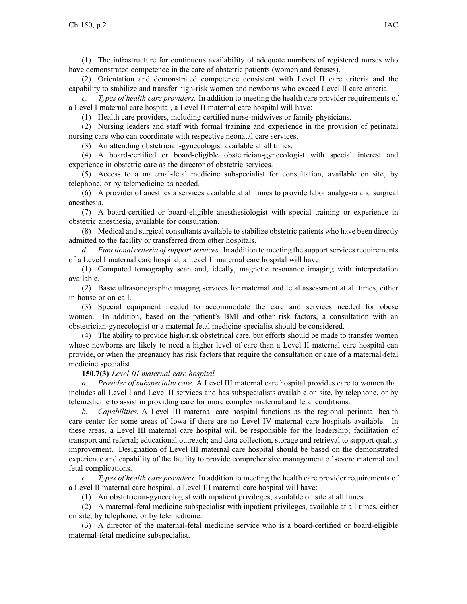(1) The infrastructure for continuous availability of adequate numbers of registered nurses who have demonstrated competence in the care of obstetric patients (women and fetuses).

(2) Orientation and demonstrated competence consistent with Level II care criteria and the capability to stabilize and transfer high-risk women and newborns who exceed Level II care criteria.

*c. Types of health care providers.* In addition to meeting the health care provider requirements of <sup>a</sup> Level I maternal care hospital, <sup>a</sup> Level II maternal care hospital will have:

(1) Health care providers, including certified nurse-midwives or family physicians.

(2) Nursing leaders and staff with formal training and experience in the provision of perinatal nursing care who can coordinate with respective neonatal care services.

(3) An attending obstetrician-gynecologist available at all times.

(4) A board-certified or board-eligible obstetrician-gynecologist with special interest and experience in obstetric care as the director of obstetric services.

(5) Access to <sup>a</sup> maternal-fetal medicine subspecialist for consultation, available on site, by telephone, or by telemedicine as needed.

(6) A provider of anesthesia services available at all times to provide labor analgesia and surgical anesthesia.

(7) A board-certified or board-eligible anesthesiologist with special training or experience in obstetric anesthesia, available for consultation.

(8) Medical and surgical consultants available to stabilize obstetric patients who have been directly admitted to the facility or transferred from other hospitals.

*d. Functional criteria ofsupportservices.* In addition to meeting the supportservicesrequirements of <sup>a</sup> Level I maternal care hospital, <sup>a</sup> Level II maternal care hospital will have:

(1) Computed tomography scan and, ideally, magnetic resonance imaging with interpretation available.

(2) Basic ultrasonographic imaging services for maternal and fetal assessment at all times, either in house or on call.

(3) Special equipment needed to accommodate the care and services needed for obese women. In addition, based on the patient's BMI and other risk factors, <sup>a</sup> consultation with an obstetrician-gynecologist or <sup>a</sup> maternal fetal medicine specialist should be considered.

(4) The ability to provide high-risk obstetrical care, but efforts should be made to transfer women whose newborns are likely to need <sup>a</sup> higher level of care than <sup>a</sup> Level II maternal care hospital can provide, or when the pregnancy has risk factors that require the consultation or care of <sup>a</sup> maternal-fetal medicine specialist.

## **150.7(3)** *Level III maternal care hospital.*

*a. Provider of subspecialty care.* A Level III maternal care hospital provides care to women that includes all Level I and Level II services and has subspecialists available on site, by telephone, or by telemedicine to assist in providing care for more complex maternal and fetal conditions.

*b. Capabilities.* A Level III maternal care hospital functions as the regional perinatal health care center for some areas of Iowa if there are no Level IV maternal care hospitals available. In these areas, <sup>a</sup> Level III maternal care hospital will be responsible for the leadership; facilitation of transport and referral; educational outreach; and data collection, storage and retrieval to suppor<sup>t</sup> quality improvement. Designation of Level III maternal care hospital should be based on the demonstrated experience and capability of the facility to provide comprehensive managemen<sup>t</sup> of severe maternal and fetal complications.

*c. Types of health care providers.* In addition to meeting the health care provider requirements of <sup>a</sup> Level II maternal care hospital, <sup>a</sup> Level III maternal care hospital will have:

(1) An obstetrician-gynecologist with inpatient privileges, available on site at all times.

(2) A maternal-fetal medicine subspecialist with inpatient privileges, available at all times, either on site, by telephone, or by telemedicine.

(3) A director of the maternal-fetal medicine service who is <sup>a</sup> board-certified or board-eligible maternal-fetal medicine subspecialist.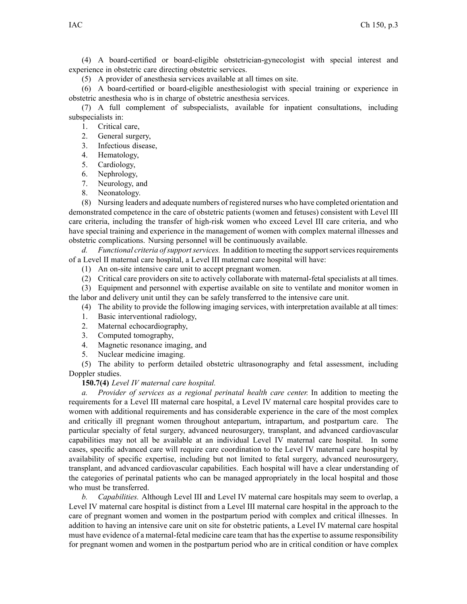(4) A board-certified or board-eligible obstetrician-gynecologist with special interest and experience in obstetric care directing obstetric services.

(5) A provider of anesthesia services available at all times on site.

(6) A board-certified or board-eligible anesthesiologist with special training or experience in obstetric anesthesia who is in charge of obstetric anesthesia services.

(7) A full complement of subspecialists, available for inpatient consultations, including subspecialists in:

- 1. Critical care,
- 2. General surgery,
- 3. Infectious disease,
- 4. Hematology,
- 5. Cardiology,
- 6. Nephrology,
- 7. Neurology, and
- 8. Neonatology.

(8) Nursing leaders and adequate numbers of registered nurses who have completed orientation and demonstrated competence in the care of obstetric patients (women and fetuses) consistent with Level III care criteria, including the transfer of high-risk women who exceed Level III care criteria, and who have special training and experience in the managemen<sup>t</sup> of women with complex maternal illnesses and obstetric complications. Nursing personnel will be continuously available.

*d. Functional criteria ofsupportservices.* In addition to meeting the supportservicesrequirements of <sup>a</sup> Level II maternal care hospital, <sup>a</sup> Level III maternal care hospital will have:

- (1) An on-site intensive care unit to accep<sup>t</sup> pregnan<sup>t</sup> women.
- (2) Critical care providers on site to actively collaborate with maternal-fetal specialists at all times.

(3) Equipment and personnel with expertise available on site to ventilate and monitor women in the labor and delivery unit until they can be safely transferred to the intensive care unit.

- (4) The ability to provide the following imaging services, with interpretation available at all times:
- 1. Basic interventional radiology,
- 2. Maternal echocardiography,
- 3. Computed tomography,
- 4. Magnetic resonance imaging, and
- 5. Nuclear medicine imaging.

(5) The ability to perform detailed obstetric ultrasonography and fetal assessment, including Doppler studies.

**150.7(4)** *Level IV maternal care hospital.*

*a. Provider of services as <sup>a</sup> regional perinatal health care center.* In addition to meeting the requirements for <sup>a</sup> Level III maternal care hospital, <sup>a</sup> Level IV maternal care hospital provides care to women with additional requirements and has considerable experience in the care of the most complex and critically ill pregnan<sup>t</sup> women throughout antepartum, intrapartum, and postpartum care. The particular specialty of fetal surgery, advanced neurosurgery, transplant, and advanced cardiovascular capabilities may not all be available at an individual Level IV maternal care hospital. In some cases, specific advanced care will require care coordination to the Level IV maternal care hospital by availability of specific expertise, including but not limited to fetal surgery, advanced neurosurgery, transplant, and advanced cardiovascular capabilities. Each hospital will have <sup>a</sup> clear understanding of the categories of perinatal patients who can be managed appropriately in the local hospital and those who must be transferred.

*b. Capabilities.* Although Level III and Level IV maternal care hospitals may seem to overlap, <sup>a</sup> Level IV maternal care hospital is distinct from <sup>a</sup> Level III maternal care hospital in the approach to the care of pregnan<sup>t</sup> women and women in the postpartum period with complex and critical illnesses. In addition to having an intensive care unit on site for obstetric patients, <sup>a</sup> Level IV maternal care hospital must have evidence of <sup>a</sup> maternal-fetal medicine care team that hasthe expertise to assume responsibility for pregnan<sup>t</sup> women and women in the postpartum period who are in critical condition or have complex